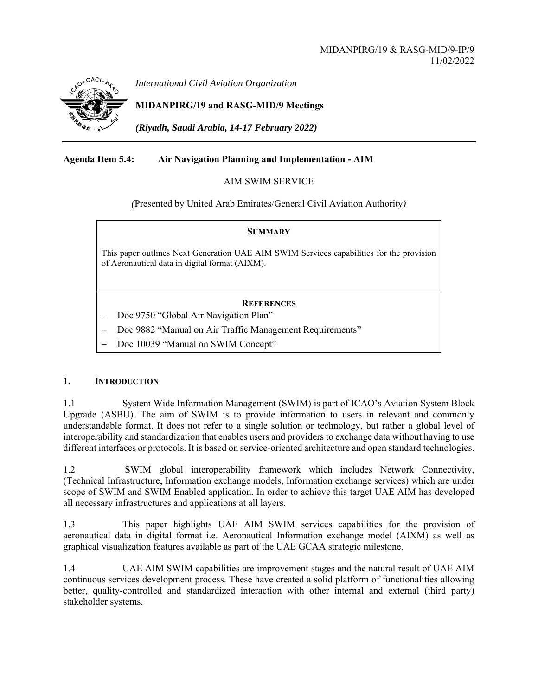

*International Civil Aviation Organization*

# **MIDANPIRG/19 and RASG-MID/9 Meetings**

*(Riyadh, Saudi Arabia, 14-17 February 2022)* 

## **Agenda Item 5.4: Air Navigation Planning and Implementation - AIM**

### AIM SWIM SERVICE

*(*Presented by United Arab Emirates/General Civil Aviation Authority*)* 

| <b>SUMMARY</b>                                                                                                                             |  |  |
|--------------------------------------------------------------------------------------------------------------------------------------------|--|--|
| This paper outlines Next Generation UAE AIM SWIM Services capabilities for the provision<br>of Aeronautical data in digital format (AIXM). |  |  |
| <b>REFERENCES</b>                                                                                                                          |  |  |

Doc 9750 "Global Air Navigation Plan"

Doc 9882 "Manual on Air Traffic Management Requirements"

Doc 10039 "Manual on SWIM Concept"

#### **1. INTRODUCTION**

1.1 System Wide Information Management (SWIM) is part of ICAO's Aviation System Block Upgrade (ASBU). The aim of SWIM is to provide information to users in relevant and commonly understandable format. It does not refer to a single solution or technology, but rather a global level of interoperability and standardization that enables users and providers to exchange data without having to use different interfaces or protocols. It is based on service-oriented architecture and open standard technologies.

1.2 SWIM global interoperability framework which includes Network Connectivity, (Technical Infrastructure, Information exchange models, Information exchange services) which are under scope of SWIM and SWIM Enabled application. In order to achieve this target UAE AIM has developed all necessary infrastructures and applications at all layers.

1.3 This paper highlights UAE AIM SWIM services capabilities for the provision of aeronautical data in digital format i.e. Aeronautical Information exchange model (AIXM) as well as graphical visualization features available as part of the UAE GCAA strategic milestone.

1.4 UAE AIM SWIM capabilities are improvement stages and the natural result of UAE AIM continuous services development process. These have created a solid platform of functionalities allowing better, quality-controlled and standardized interaction with other internal and external (third party) stakeholder systems.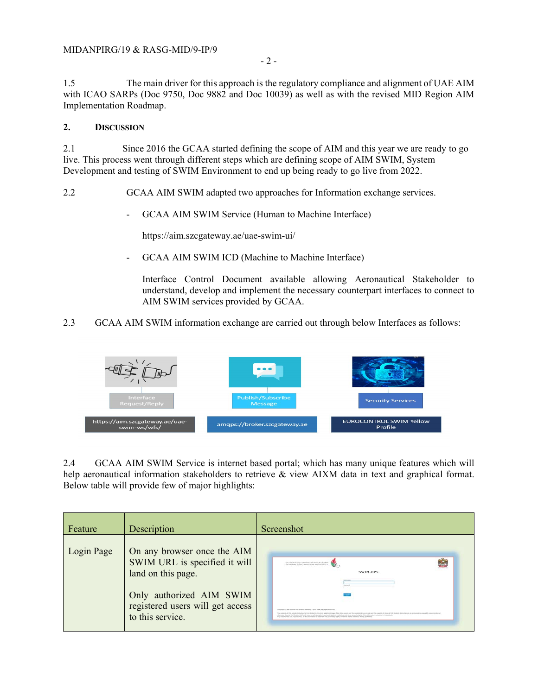1.5 The main driver for this approach is the regulatory compliance and alignment of UAE AIM with ICAO SARPs (Doc 9750, Doc 9882 and Doc 10039) as well as with the revised MID Region AIM Implementation Roadmap.

#### **2. DISCUSSION**

2.1 Since 2016 the GCAA started defining the scope of AIM and this year we are ready to go live. This process went through different steps which are defining scope of AIM SWIM, System Development and testing of SWIM Environment to end up being ready to go live from 2022.

2.2 GCAA AIM SWIM adapted two approaches for Information exchange services.

- GCAA AIM SWIM Service (Human to Machine Interface)

https://aim.szcgateway.ae/uae-swim-ui/

GCAA AIM SWIM ICD (Machine to Machine Interface)

Interface Control Document available allowing Aeronautical Stakeholder to understand, develop and implement the necessary counterpart interfaces to connect to AIM SWIM services provided by GCAA.

2.3 GCAA AIM SWIM information exchange are carried out through below Interfaces as follows:



2.4 GCAA AIM SWIM Service is internet based portal; which has many unique features which will help aeronautical information stakeholders to retrieve & view AIXM data in text and graphical format. Below table will provide few of major highlights:

| Feature    | Description                                                                        | Screenshot                                                                                                                                                                                                                                                                                                                                                                                                                                                                                                                                                                                                                                                          |
|------------|------------------------------------------------------------------------------------|---------------------------------------------------------------------------------------------------------------------------------------------------------------------------------------------------------------------------------------------------------------------------------------------------------------------------------------------------------------------------------------------------------------------------------------------------------------------------------------------------------------------------------------------------------------------------------------------------------------------------------------------------------------------|
| Login Page | On any browser once the AIM<br>SWIM URL is specified it will<br>land on this page. | The characteristic and high product of the characteristic<br>SWIM-OPS                                                                                                                                                                                                                                                                                                                                                                                                                                                                                                                                                                                               |
|            | Only authorized AIM SWIM<br>registered users will get access<br>to this service.   | Experiment do 'state decrease that decepted dealership' I series with  At fraction decorate<br>The contants of \$10 centrals circuiting, but into biologicity, the first, alcohols, plague, Dira, Sinis, Senito and the postphing poses code and the possible of through Cost thorace definition dealership and one and books<br>refree-cools. Secured Start Business Multipletic reservoir of copyrights, Audenturias, policylic intellectual and other property rights of the information contents of the uniquely<br>Ark conditioned can, expressively). At the information or relations and programmy hatter existenced in this existent is abouts professional |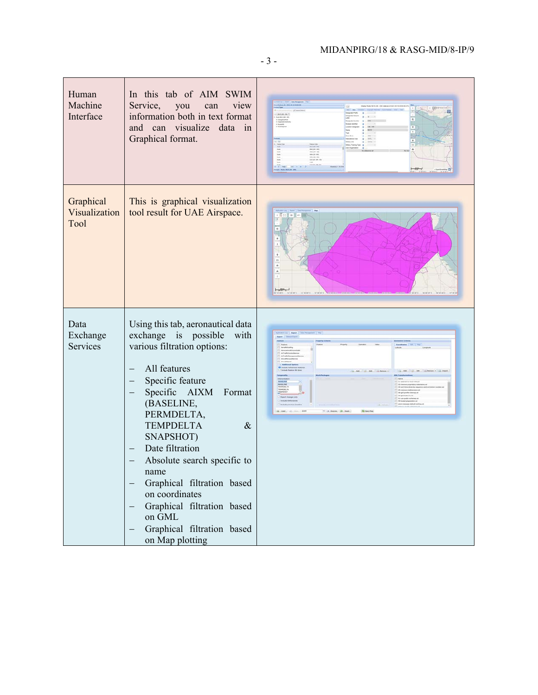# MIDANPIRG/18 & RASG-MID/8-IP/9

- 3 -

| Human<br>Machine<br>Interface       | In this tab of AIM SWIM<br>Service,<br>view<br>you<br>can<br>information both in text format<br>and can visualize data in<br>Graphical format.                                                                                                                                                                                                                                                                                          |  |
|-------------------------------------|-----------------------------------------------------------------------------------------------------------------------------------------------------------------------------------------------------------------------------------------------------------------------------------------------------------------------------------------------------------------------------------------------------------------------------------------|--|
| Graphical<br>Visualization<br>Tool  | This is graphical visualization<br>tool result for UAE Airspace.                                                                                                                                                                                                                                                                                                                                                                        |  |
| Data<br>Exchange<br><b>Services</b> | Using this tab, aeronautical data<br>exchange is possible<br>with<br>various filtration options:<br>All features<br>Specific feature<br>Specific AIXM<br>Format<br>(BASELINE,<br>PERMDELTA,<br><b>TEMPDELTA</b><br>$\&$<br>SNAPSHOT)<br>Date filtration<br>Absolute search specific to<br>name<br>Graphical filtration based<br>on coordinates<br>Graphical filtration based<br>on GML<br>Graphical filtration based<br>on Map plotting |  |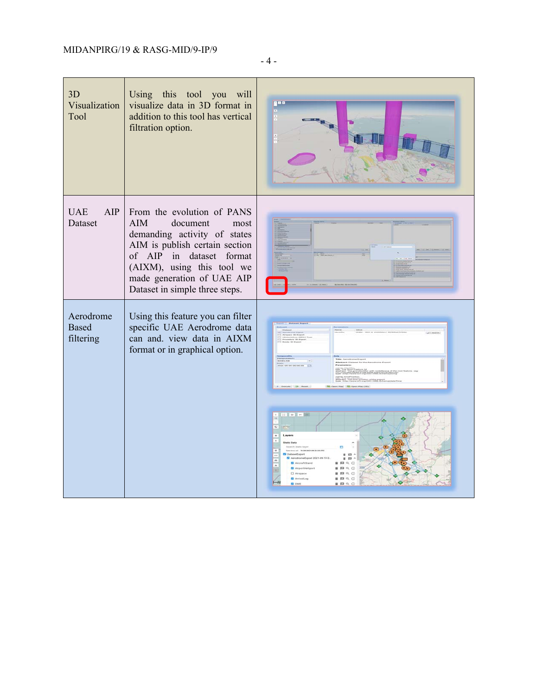| 3D<br>Visualization<br>Tool            | Using this tool you will<br>visualize data in 3D format in<br>addition to this tool has vertical<br>filtration option.                                                                                                                                   | g n o                                                                                                                                                                                                                                                                                                                           |
|----------------------------------------|----------------------------------------------------------------------------------------------------------------------------------------------------------------------------------------------------------------------------------------------------------|---------------------------------------------------------------------------------------------------------------------------------------------------------------------------------------------------------------------------------------------------------------------------------------------------------------------------------|
| AIP<br><b>UAE</b><br>Dataset           | From the evolution of PANS<br><b>AIM</b><br>document<br>most<br>demanding activity of states<br>AIM is publish certain section<br>of AIP in dataset format<br>(AIXM), using this tool we<br>made generation of UAE AIP<br>Dataset in simple three steps. |                                                                                                                                                                                                                                                                                                                                 |
| Aerodrome<br><b>Based</b><br>filtering | Using this feature you can filter<br>specific UAE Aerodrome data<br>can and. view data in AIXM<br>format or in graphical option.                                                                                                                         | $\frac{1}{2}$ $\frac{1}{2}$ $\frac{1}{2}$ $\frac{1}{2}$ $\frac{1}{2}$ $\frac{1}{2}$ $\frac{1}{2}$ $\frac{1}{2}$ $\frac{1}{2}$ $\frac{1}{2}$<br>$-$ 19.00 2021 09.22.33<br><b>CutanetExport</b><br>AerodromeExport 2021-01<br>AircraftStand<br><b>P3</b> Altitude this dis-<br>C Airspace<br>$\sqrt{1}$<br>ArrivalLeg<br>$a$ $G$ |